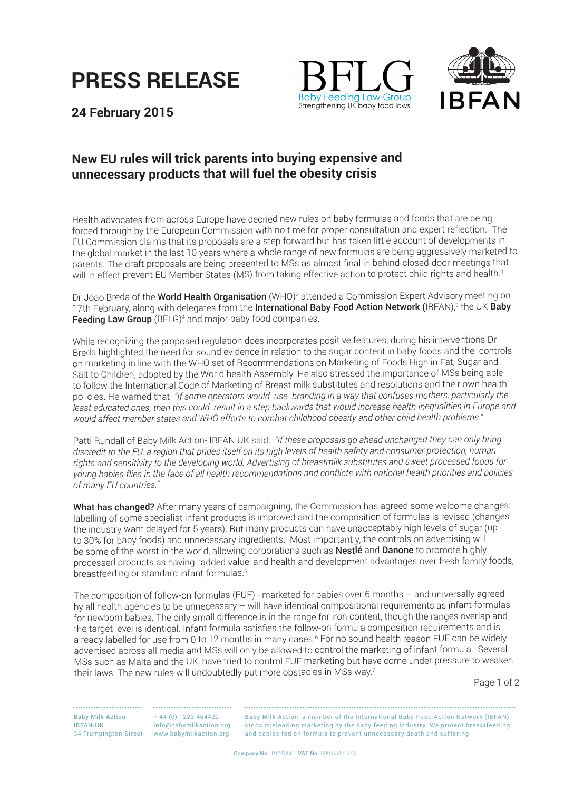





**24 February 2015**

## **New EU rules will trick parents into buying expensive and unnecessary products that will fuel the obesity crisis**

Health advocates from across Europe have decried new rules on baby formulas and foods that are being forced through by the European Commission with no time for proper consultation and expert reflection. The EU Commission claims that its proposals are a step forward but has taken little account of developments in the global market in the last 10 years where a whole range of new formulas are being aggressively marketed to parents. The draft proposals are being presented to MSs as almost final in behind-closed-door-meetings that will in effect prevent EU Member States (MS) from taking effective action to protect child rights and health.<sup>1</sup>

Dr Joao Breda of the **World Health Organisation** (WHO)<sup>2</sup> attended a Commission Expert Advisory meeting on 17th February, along with delegates from the **International Baby Food Action Network (**IBFAN),<sup>3</sup> the UK **Baby** Feeding Law Group (BFLG)<sup>4</sup> and major baby food companies.

While recognizing the proposed regulation does incorporates positive features, during his interventions Dr Breda highlighted the need for sound evidence in relation to the sugar content in baby foods and the controls on marketing in line with the WHO set of Recommendations on Marketing of Foods High in Fat, Sugar and Salt to Children, adopted by the World health Assembly. He also stressed the importance of MSs being able to follow the International Code of Marketing of Breast milk substitutes and resolutions and their own health policies. He warned that *"If some operators would use branding in a way that confuses mothers, particularly the*  least educated ones, then this could result in a step backwards that would increase health inequalities in Europe and *would affect member states and WHO efforts to combat childhood obesity and other child health problems."* 

Patti Rundall of Baby Milk Action- IBFAN UK said: *"If these proposals go ahead unchanged they can only bring discredit to the EU, a region that prides itself on its high levels of health safety and consumer protection, human rights and sensitivity to the developing world. Advertising of breastmilk substitutes and sweet processed foods for young babies flies in the face of all health recommendations and conflicts with national health priorities and policies of many EU countries."*

What has changed? After many years of campaigning, the Commission has agreed some welcome changes: labelling of some specialist infant products is improved and the composition of formulas is revised (changes the industry want delayed for 5 years). But many products can have unacceptably high levels of sugar (up to 30% for baby foods) and unnecessary ingredients. Most importantly, the controls on advertising will be some of the worst in the world, allowing corporations such as Nestlé and Danone to promote highly processed products as having 'added value' and health and development advantages over fresh family foods, breastfeeding or standard infant formulas. $^5$ 

The composition of follow-on formulas (FUF) - marketed for babies over 6 months – and universally agreed by all health agencies to be unnecessary – will have identical compositional requirements as infant formulas for newborn babies. The only small difference is in the range for iron content, though the ranges overlap and the target level is identical. Infant formula satisfies the follow-on formula composition requirements and is already labelled for use from 0 to 12 months in many cases.<sup>6</sup> For no sound health reason FUF can be widely advertised across all media and MSs will only be allowed to control the marketing of infant formula. Several MSs such as Malta and the UK, have tried to control FUF marketing but have come under pressure to weaken their laws. The new rules will undoubtedly put more obstacles in MSs way.<sup>7</sup>

Page 1 of 2

Baby Milk Action IBFAN-UK 34 Trumpington Street www.babymilkaction.org

+ 44 (0) 1223 464420 info@babymilkaction.org

Baby Milk Action, a member of the International Baby Food Action Network (IBFAN), stops misleading marketing by the baby feeding industry. We protect breastfeeding and babies fed on formula to prevent unnecessary death and suffering.